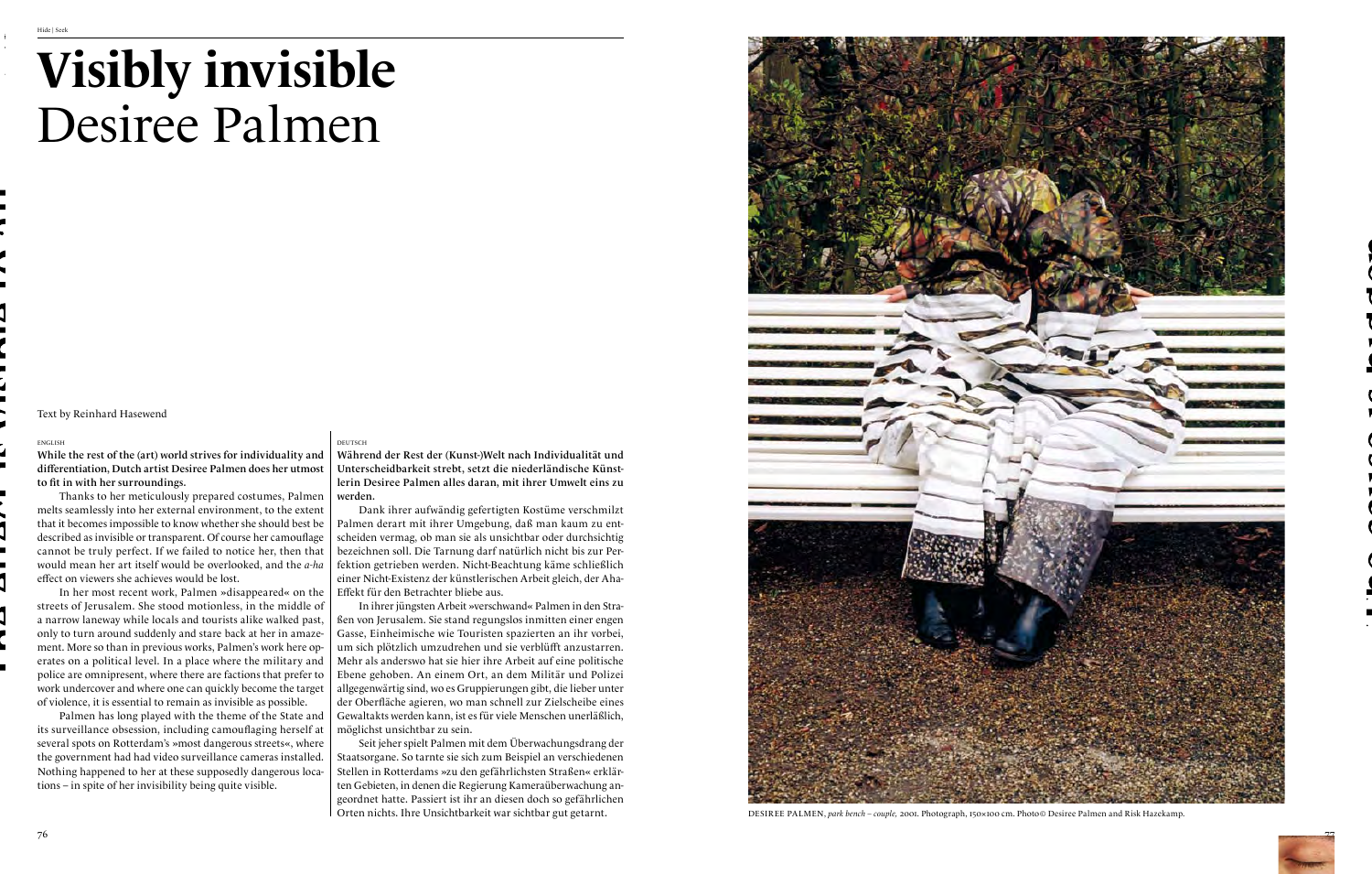## **Visibly invisible** Desiree Palmen



## deutsch

Während der Rest der (Kunst-)Welt nach Individualität und Unterscheidbarkeit strebt, setzt die niederländische Künstlerin Desiree Palmen alles daran, mit ihrer Umwelt eins zu

Dank ihrer aufwändig gefertigten Kostüme verschmilzt Palmen derart mit ihrer Umgebung, daß man kaum zu entscheiden vermag, ob man sie als unsichtbar oder durchsichtig bezeichnen soll. Die Tarnung darf natürlich nicht bis zur Perfektion getrieben werden. Nicht-Beachtung käme schließlich einer Nicht-Existenz der künstlerischen Arbeit gleich, der Aha-Effekt für den Betrachter bliebe aus.

In ihrer jüngsten Arbeit »verschwand« Palmen in den Straßen von Jerusalem. Sie stand regungslos inmitten einer engen Gasse, Einheimische wie Touristen spazierten an ihr vorbei, um sich plötzlich umzudrehen und sie verblüfft anzustarren. Mehr als anderswo hat sie hier ihre Arbeit auf eine politische Ebene gehoben. An einem Ort, an dem Militär und Polizei allgegenwärtig sind, wo es Gruppierungen gibt, die lieber unter der Oberfläche agieren, wo man schnell zur Zielscheibe eines Gewaltakts werden kann, ist es für viele Menschen unerläßlich, möglichst unsichtbar zu sein.

Thanks to her meticulously prepared costumes, Palmen  $\mid$  werden. melts seamlessly into her external environment, to the extent that it becomes impossible to know whether she should best be described as invisible or transparent. Of course her camouflage cannot be truly perfect. If we failed to notice her, then that would mean her art itself would be overlooked, and the *a-ha* effect on viewers she achieves would be lost.

> Seit jeher spielt Palmen mit dem Überwachungsdrang der Staatsorgane. So tarnte sie sich zum Beispiel an verschiedenen Stellen in Rotterdams »zu den gefährlichsten Straßen« erklärten Gebieten, in denen die Regierung Kameraüberwachung angeordnet hatte. Passiert ist ihr an diesen doch so gefährlichen Orten nichts. Ihre Unsichtbarkeit war sichtbar gut getarnt.



## english

While the rest of the (art) world strives for individuality and differentiation, Dutch artist Desiree Palmen does her utmost to fit in with her surroundings.

In her most recent work, Palmen »disappeared« on the streets of Jerusalem. She stood motionless, in the middle of a narrow laneway while locals and tourists alike walked past, only to turn around suddenly and stare back at her in amazement. More so than in previous works, Palmen's work here operates on a political level. In a place where the military and police are omnipresent, where there are factions that prefer to work undercover and where one can quickly become the target of violence, it is essential to remain as invisible as possible.

Palmen has long played with the theme of the State and its surveillance obsession, including camouflaging herself at several spots on Rotterdam's »most dangerous streets«, where the government had had video surveillance cameras installed. Nothing happened to her at these supposedly dangerous locations – in spite of her invisibility being quite visible.

Text by Reinhard Hasewend

Desiree Palmen, *park bench – couple,* 2001. Photograph, 150×100 cm. Photo© Desiree Palmen and Risk Hazekamp.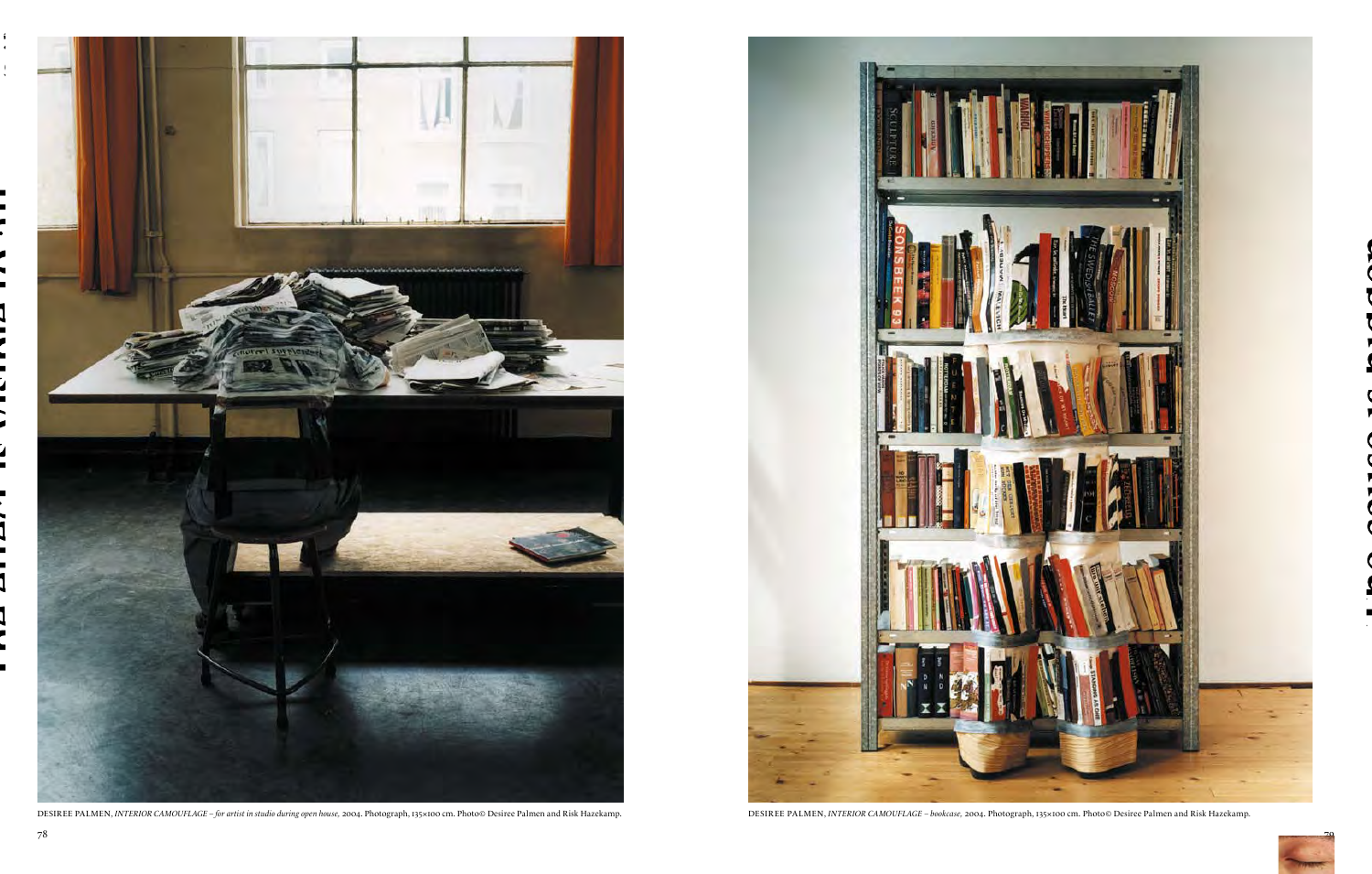

DESIREE PALMEN, INTERIOR CAMOUFLAGE - for artist in studio during open house, 2004. Photograph, 135×100 cm. Photo© Desiree Palmen and Risk Hazekamp. DESIREE PALMEN, INTERIOR CAMOUFLAGE - bookcase, 2004. Photograph, 135×100